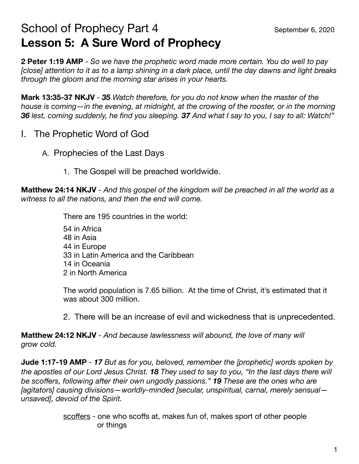## School of Prophecy Part 4 School of Prophecy Part 4 **Lesson 5: A Sure Word of Prophecy**

**2 Peter 1:19 AMP** - *So we have the prophetic word made more certain. You do well to pay [close] attention to it as to a lamp shining in a dark place, until the day dawns and light breaks through the gloom and the morning star arises in your hearts.*

**Mark 13:35-37 NKJV** - *35 Watch therefore, for you do not know when the master of the house is coming—in the evening, at midnight, at the crowing of the rooster, or in the morning 36 lest, coming suddenly, he find you sleeping. 37 And what I say to you, I say to all: Watch!"*

- I. The Prophetic Word of God
	- A. Prophecies of the Last Days
		- 1. The Gospel will be preached worldwide.

**Matthew 24:14 NKJV** - *And this gospel of the kingdom will be preached in all the world as a witness to all the nations, and then the end will come.*

 There are 195 countries in the world:

 $\overline{a}$  54 in Africa 48 in Asia 44 in Europe 33 in Latin America and the Caribbean 14 in Oceania 2 in North America

> The world population is 7.65 billion. At the time of Christ, it's estimated that it was about 300 million.

 2. There will be an increase of evil and wickedness that is unprecedented.

**Matthew 24:12 NKJV** - *And because lawlessness will abound, the love of many will grow cold.* 

**Jude 1:17-19 AMP** - *17 But as for you, beloved, remember the [prophetic] words spoken by the apostles of our Lord Jesus Christ. 18 They used to say to you, "In the last days there will be scoffers, following after their own ungodly passions." 19 These are the ones who are [agitators] causing divisions—worldly-minded [secular, unspiritual, carnal, merely sensual unsaved], devoid of the Spirit.* 

> scoffers - one who scoffs at, makes fun of, makes sport of other people or things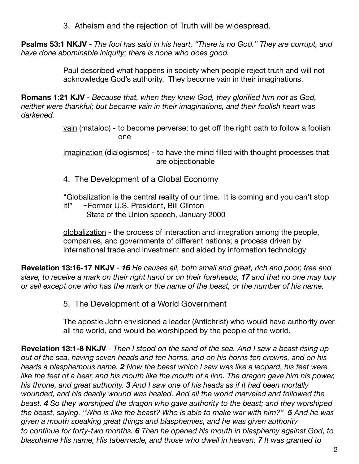3. Atheism and the rejection of Truth will be widespread.

**Psalms 53:1 NKJV** - *The fool has said in his heart, "There is no God." They are corrupt, and have done abominable iniquity; there is none who does good.*

> Paul described what happens in society when people reject truth and will not acknowledge God's authority. They become vain in their imaginations.

**Romans 1:21 KJV** - *Because that, when they knew God, they glorified him not as God, neither were thankful; but became vain in their imaginations, and their foolish heart was darkened.* 

 vain (mataioo) - to become perverse; to get off the right path to follow a foolish **one** and the contract of the contract of the contract of the contract of the contract of the contract of the con

> imagination (dialogismos) - to have the mind filled with thought processes that are objectionable

 4. The Development of a Global Economy

 "Globalization is the central reality of our time. It is coming and you can't stop it!" ~Former U.S. President, Bill Clinton State of the Union speech, January 2000

 globalization - the process of interaction and integration among the people, companies, and governments of different nations; a process driven by international trade and investment and aided by information technology

**Revelation 13:16-17 NKJV** - *16 He causes all, both small and great, rich and poor, free and slave, to receive a mark on their right hand or on their foreheads, 17 and that no one may buy or sell except one who has the mark or the name of the beast, or the number of his name.* 

 5. The Development of a World Government

 The apostle John envisioned a leader (Antichrist) who would have authority over all the world, and would be worshipped by the people of the world.

**Revelation 13:1-8 NKJV** - *Then I stood on the sand of the sea. And I saw a beast rising up out of the sea, having seven heads and ten horns, and on his horns ten crowns, and on his heads a blasphemous name. 2 Now the beast which I saw was like a leopard, his feet were like the feet of a bear, and his mouth like the mouth of a lion. The dragon gave him his power, his throne, and great authority. 3 And I saw one of his heads as if it had been mortally wounded, and his deadly wound was healed. And all the world marveled and followed the beast. 4 So they worshiped the dragon who gave authority to the beast; and they worshiped the beast, saying, "Who is like the beast? Who is able to make war with him?" 5 And he was given a mouth speaking great things and blasphemies, and he was given authority to continue for forty-two months. 6 Then he opened his mouth in blasphemy against God, to blaspheme His name, His tabernacle, and those who dwell in heaven. 7 It was granted to*